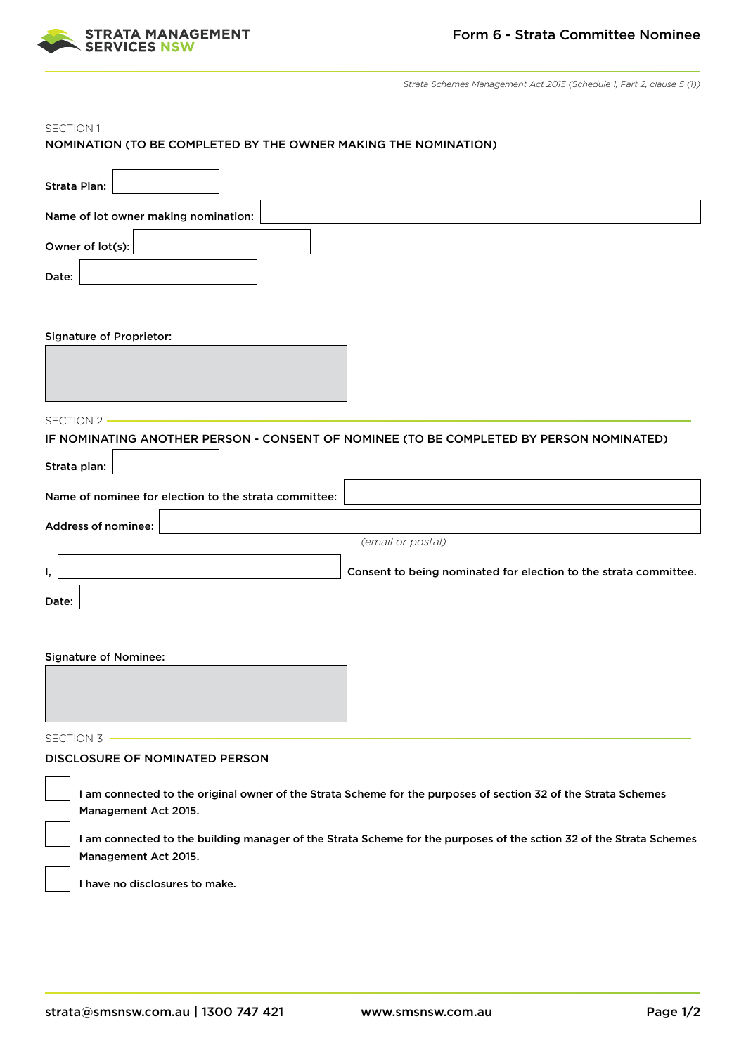

*Strata Schemes Management Act 2015 (Schedule 1, Part 2, clause 5 (1))*

## NOMINATION (TO BE COMPLETED BY THE OWNER MAKING THE NOMINATION) Strata Plan: Name of lot owner making nomination: Owner of lot(s): Date: Signature of Proprietor: IF NOMINATING ANOTHER PERSON - CONSENT OF NOMINEE (TO BE COMPLETED BY PERSON NOMINATED) Strata plan: Name of nominee for election to the strata committee: Address of nominee:  *(email or postal)* I,  $\vert$  is a consent to being nominated for election to the strata committee. Date: Signature of Nominee: DISCLOSURE OF NOMINATED PERSON I am connected to the original owner of the Strata Scheme for the purposes of section 32 of the Strata Schemes Management Act 2015. I am connected to the building manager of the Strata Scheme for the purposes of the sction 32 of the Strata Schemes Management Act 2015. I have no disclosures to make. SECTION 1 SECTION 2 -SECTION 3 -